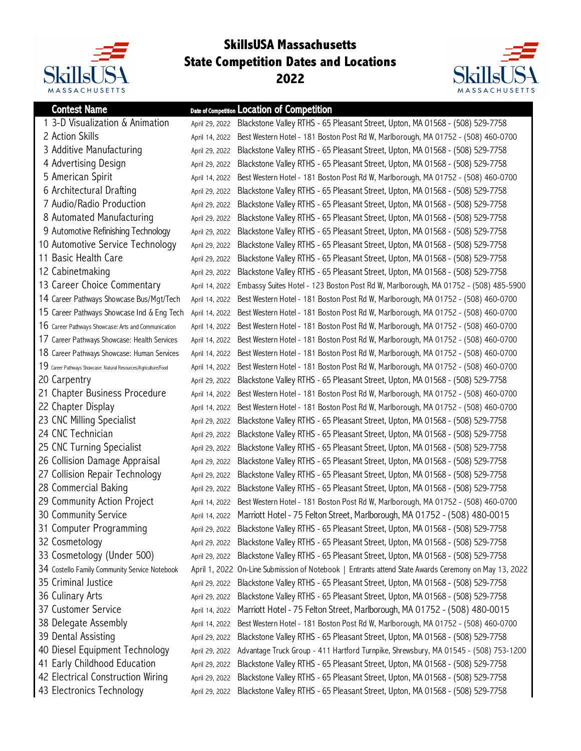

## **SkillsUSA Massachusetts State Competition Dates and Locations**



| <b>Contest Name</b>                                             |                | Date of Competition Location of Competition                                                          |
|-----------------------------------------------------------------|----------------|------------------------------------------------------------------------------------------------------|
| 1 3-D Visualization & Animation                                 |                | April 29, 2022 Blackstone Valley RTHS - 65 Pleasant Street, Upton, MA 01568 - (508) 529-7758         |
| 2 Action Skills                                                 | April 14, 2022 | Best Western Hotel - 181 Boston Post Rd W, Marlborough, MA 01752 - (508) 460-0700                    |
| 3 Additive Manufacturing                                        | April 29, 2022 | Blackstone Valley RTHS - 65 Pleasant Street, Upton, MA 01568 - (508) 529-7758                        |
| 4 Advertising Design                                            | April 29, 2022 | Blackstone Valley RTHS - 65 Pleasant Street, Upton, MA 01568 - (508) 529-7758                        |
| 5 American Spirit                                               | April 14, 2022 | Best Western Hotel - 181 Boston Post Rd W, Marlborough, MA 01752 - (508) 460-0700                    |
| 6 Architectural Drafting                                        | April 29, 2022 | Blackstone Valley RTHS - 65 Pleasant Street, Upton, MA 01568 - (508) 529-7758                        |
| 7 Audio/Radio Production                                        | April 29, 2022 | Blackstone Valley RTHS - 65 Pleasant Street, Upton, MA 01568 - (508) 529-7758                        |
| 8 Automated Manufacturing                                       | April 29, 2022 | Blackstone Valley RTHS - 65 Pleasant Street, Upton, MA 01568 - (508) 529-7758                        |
| 9 Automotive Refinishing Technology                             | April 29, 2022 | Blackstone Valley RTHS - 65 Pleasant Street, Upton, MA 01568 - (508) 529-7758                        |
| 10 Automotive Service Technology                                | April 29, 2022 | Blackstone Valley RTHS - 65 Pleasant Street, Upton, MA 01568 - (508) 529-7758                        |
| 11 Basic Health Care                                            | April 29, 2022 | Blackstone Valley RTHS - 65 Pleasant Street, Upton, MA 01568 - (508) 529-7758                        |
| 12 Cabinetmaking                                                | April 29, 2022 | Blackstone Valley RTHS - 65 Pleasant Street, Upton, MA 01568 - (508) 529-7758                        |
| 13 Career Choice Commentary                                     | April 14, 2022 | Embassy Suites Hotel - 123 Boston Post Rd W, Marlborough, MA 01752 - (508) 485-5900                  |
| 14 Career Pathways Showcase Bus/Mgt/Tech                        | April 14, 2022 | Best Western Hotel - 181 Boston Post Rd W, Marlborough, MA 01752 - (508) 460-0700                    |
| 15 Career Pathways Showcase Ind & Eng Tech                      | April 14, 2022 | Best Western Hotel - 181 Boston Post Rd W, Marlborough, MA 01752 - (508) 460-0700                    |
| 16 Career Pathways Showcase: Arts and Communication             | April 14, 2022 | Best Western Hotel - 181 Boston Post Rd W, Marlborough, MA 01752 - (508) 460-0700                    |
| 17 Career Pathways Showcase: Health Services                    | April 14, 2022 | Best Western Hotel - 181 Boston Post Rd W, Marlborough, MA 01752 - (508) 460-0700                    |
| 18 Career Pathways Showcase: Human Services                     | April 14, 2022 | Best Western Hotel - 181 Boston Post Rd W, Marlborough, MA 01752 - (508) 460-0700                    |
| 19 Career Pathways Showcase: Natural Resources/Agriculture/Food | April 14, 2022 | Best Western Hotel - 181 Boston Post Rd W, Marlborough, MA 01752 - (508) 460-0700                    |
| 20 Carpentry                                                    | April 29, 2022 | Blackstone Valley RTHS - 65 Pleasant Street, Upton, MA 01568 - (508) 529-7758                        |
| 21 Chapter Business Procedure                                   | April 14, 2022 | Best Western Hotel - 181 Boston Post Rd W, Marlborough, MA 01752 - (508) 460-0700                    |
| 22 Chapter Display                                              | April 14, 2022 | Best Western Hotel - 181 Boston Post Rd W, Marlborough, MA 01752 - (508) 460-0700                    |
| 23 CNC Milling Specialist                                       | April 29, 2022 | Blackstone Valley RTHS - 65 Pleasant Street, Upton, MA 01568 - (508) 529-7758                        |
| 24 CNC Technician                                               | April 29, 2022 | Blackstone Valley RTHS - 65 Pleasant Street, Upton, MA 01568 - (508) 529-7758                        |
| 25 CNC Turning Specialist                                       | April 29, 2022 | Blackstone Valley RTHS - 65 Pleasant Street, Upton, MA 01568 - (508) 529-7758                        |
| 26 Collision Damage Appraisal                                   | April 29, 2022 | Blackstone Valley RTHS - 65 Pleasant Street, Upton, MA 01568 - (508) 529-7758                        |
| 27 Collision Repair Technology                                  | April 29, 2022 | Blackstone Valley RTHS - 65 Pleasant Street, Upton, MA 01568 - (508) 529-7758                        |
| 28 Commercial Baking                                            | April 29, 2022 | Blackstone Valley RTHS - 65 Pleasant Street, Upton, MA 01568 - (508) 529-7758                        |
| 29 Community Action Project                                     | April 14, 2022 | Best Western Hotel - 181 Boston Post Rd W, Marlborough, MA 01752 - (508) 460-0700                    |
| 30 Community Service                                            |                | April 14, 2022 Marriott Hotel - 75 Felton Street, Marlborough, MA 01752 - (508) 480-0015             |
| 31 Computer Programming                                         | April 29, 2022 | Blackstone Valley RTHS - 65 Pleasant Street, Upton, MA 01568 - (508) 529-7758                        |
| 32 Cosmetology                                                  | April 29, 2022 | Blackstone Valley RTHS - 65 Pleasant Street, Upton, MA 01568 - (508) 529-7758                        |
| 33 Cosmetology (Under 500)                                      | April 29, 2022 | Blackstone Valley RTHS - 65 Pleasant Street, Upton, MA 01568 - (508) 529-7758                        |
| 34 Costello Family Community Service Notebook                   |                | April 1, 2022 On-Line Submission of Notebook   Entrants attend State Awards Ceremony on May 13, 2022 |
| 35 Criminal Justice                                             | April 29, 2022 | Blackstone Valley RTHS - 65 Pleasant Street, Upton, MA 01568 - (508) 529-7758                        |
| 36 Culinary Arts                                                | April 29, 2022 | Blackstone Valley RTHS - 65 Pleasant Street, Upton, MA 01568 - (508) 529-7758                        |
| 37 Customer Service                                             | April 14, 2022 | Marriott Hotel - 75 Felton Street, Marlborough, MA 01752 - (508) 480-0015                            |
| 38 Delegate Assembly                                            | April 14, 2022 | Best Western Hotel - 181 Boston Post Rd W, Marlborough, MA 01752 - (508) 460-0700                    |
| 39 Dental Assisting                                             | April 29, 2022 | Blackstone Valley RTHS - 65 Pleasant Street, Upton, MA 01568 - (508) 529-7758                        |
| 40 Diesel Equipment Technology                                  | April 29, 2022 | Advantage Truck Group - 411 Hartford Turnpike, Shrewsbury, MA 01545 - (508) 753-1200                 |
| 41 Early Childhood Education                                    | April 29, 2022 | Blackstone Valley RTHS - 65 Pleasant Street, Upton, MA 01568 - (508) 529-7758                        |
| 42 Electrical Construction Wiring                               | April 29, 2022 | Blackstone Valley RTHS - 65 Pleasant Street, Upton, MA 01568 - (508) 529-7758                        |
| 43 Electronics Technology                                       | April 29, 2022 | Blackstone Valley RTHS - 65 Pleasant Street, Upton, MA 01568 - (508) 529-7758                        |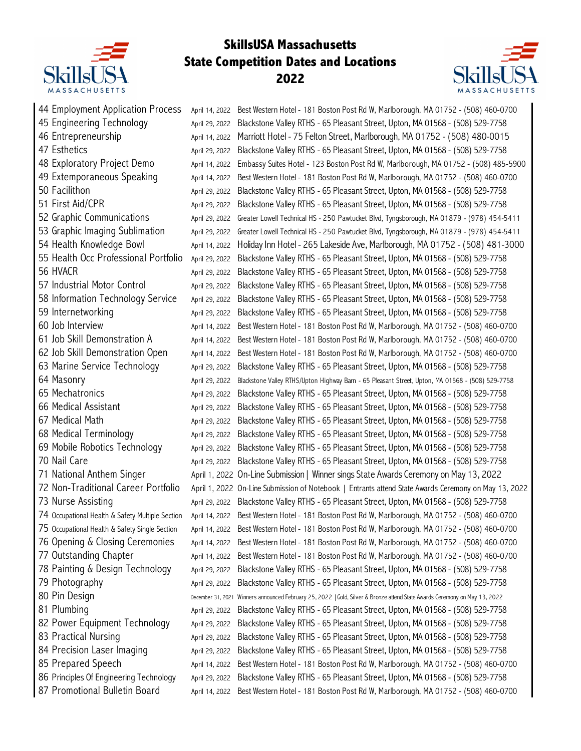

## **SkillsUSA Massachusetts State Competition Dates and Locations**



| 44 Employment Application Process                |                                  |                                                                                                                                                                    |
|--------------------------------------------------|----------------------------------|--------------------------------------------------------------------------------------------------------------------------------------------------------------------|
| 45 Engineering Technology                        | April 14, 2022                   | Best Western Hotel - 181 Boston Post Rd W, Marlborough, MA 01752 - (508) 460-0700<br>Blackstone Valley RTHS - 65 Pleasant Street, Upton, MA 01568 - (508) 529-7758 |
| 46 Entrepreneurship                              | April 29, 2022                   |                                                                                                                                                                    |
| 47 Esthetics                                     | April 14, 2022                   | Marriott Hotel - 75 Felton Street, Marlborough, MA 01752 - (508) 480-0015                                                                                          |
|                                                  | April 29, 2022                   | Blackstone Valley RTHS - 65 Pleasant Street, Upton, MA 01568 - (508) 529-7758                                                                                      |
| 48 Exploratory Project Demo                      | April 14, 2022                   | Embassy Suites Hotel - 123 Boston Post Rd W, Marlborough, MA 01752 - (508) 485-5900                                                                                |
| 49 Extemporaneous Speaking                       | April 14, 2022                   | Best Western Hotel - 181 Boston Post Rd W, Marlborough, MA 01752 - (508) 460-0700                                                                                  |
| 50 Facilithon                                    | April 29, 2022                   | Blackstone Valley RTHS - 65 Pleasant Street, Upton, MA 01568 - (508) 529-7758                                                                                      |
| 51 First Aid/CPR                                 | April 29, 2022                   | Blackstone Valley RTHS - 65 Pleasant Street, Upton, MA 01568 - (508) 529-7758                                                                                      |
| 52 Graphic Communications                        | April 29, 2022                   | Greater Lowell Technical HS - 250 Pawtucket Blvd, Tyngsborough, MA 01879 - (978) 454-5411                                                                          |
| 53 Graphic Imaging Sublimation                   | April 29, 2022                   | Greater Lowell Technical HS - 250 Pawtucket Blvd, Tyngsborough, MA 01879 - (978) 454-5411                                                                          |
| 54 Health Knowledge Bowl                         | April 14, 2022                   | Holiday Inn Hotel - 265 Lakeside Ave, Marlborough, MA 01752 - (508) 481-3000                                                                                       |
| 55 Health Occ Professional Portfolio             | April 29, 2022                   | Blackstone Valley RTHS - 65 Pleasant Street, Upton, MA 01568 - (508) 529-7758                                                                                      |
| 56 HVACR                                         | April 29, 2022                   | Blackstone Valley RTHS - 65 Pleasant Street, Upton, MA 01568 - (508) 529-7758                                                                                      |
| 57 Industrial Motor Control                      | April 29, 2022                   | Blackstone Valley RTHS - 65 Pleasant Street, Upton, MA 01568 - (508) 529-7758                                                                                      |
| 58 Information Technology Service                | April 29, 2022                   | Blackstone Valley RTHS - 65 Pleasant Street, Upton, MA 01568 - (508) 529-7758                                                                                      |
| 59 Internetworking                               | April 29, 2022                   | Blackstone Valley RTHS - 65 Pleasant Street, Upton, MA 01568 - (508) 529-7758                                                                                      |
| 60 Job Interview                                 | April 14, 2022                   | Best Western Hotel - 181 Boston Post Rd W, Marlborough, MA 01752 - (508) 460-0700                                                                                  |
| 61 Job Skill Demonstration A                     | April 14, 2022                   | Best Western Hotel - 181 Boston Post Rd W, Marlborough, MA 01752 - (508) 460-0700                                                                                  |
| 62 Job Skill Demonstration Open                  | April 14, 2022                   | Best Western Hotel - 181 Boston Post Rd W, Marlborough, MA 01752 - (508) 460-0700                                                                                  |
| 63 Marine Service Technology                     | April 29, 2022                   | Blackstone Valley RTHS - 65 Pleasant Street, Upton, MA 01568 - (508) 529-7758                                                                                      |
| 64 Masonry                                       | April 29, 2022                   | Blackstone Valley RTHS/Upton Highway Barn - 65 Pleasant Street, Upton, MA 01568 - (508) 529-7758                                                                   |
| 65 Mechatronics                                  | April 29, 2022                   | Blackstone Valley RTHS - 65 Pleasant Street, Upton, MA 01568 - (508) 529-7758                                                                                      |
| 66 Medical Assistant                             | April 29, 2022                   | Blackstone Valley RTHS - 65 Pleasant Street, Upton, MA 01568 - (508) 529-7758                                                                                      |
| 67 Medical Math                                  | April 29, 2022                   | Blackstone Valley RTHS - 65 Pleasant Street, Upton, MA 01568 - (508) 529-7758                                                                                      |
| 68 Medical Terminology                           | April 29, 2022                   | Blackstone Valley RTHS - 65 Pleasant Street, Upton, MA 01568 - (508) 529-7758                                                                                      |
| 69 Mobile Robotics Technology                    | April 29, 2022                   | Blackstone Valley RTHS - 65 Pleasant Street, Upton, MA 01568 - (508) 529-7758                                                                                      |
| 70 Nail Care                                     | April 29, 2022                   | Blackstone Valley RTHS - 65 Pleasant Street, Upton, MA 01568 - (508) 529-7758                                                                                      |
| 71 National Anthem Singer                        |                                  | April 1, 2022 On-Line Submission   Winner sings State Awards Ceremony on May 13, 2022                                                                              |
| 72 Non-Traditional Career Portfolio              |                                  | April 1, 2022 On-Line Submission of Notebook   Entrants attend State Awards Ceremony on May 13, 2022                                                               |
| 73 Nurse Assisting                               |                                  | April 29, 2022 Blackstone Valley RTHS - 65 Pleasant Street, Upton, MA 01568 - (508) 529-7758                                                                       |
| 74 Occupational Health & Safety Multiple Section |                                  | April 14, 2022 Best Western Hotel - 181 Boston Post Rd W, Marlborough, MA 01752 - (508) 460-0700                                                                   |
| 75 Occupational Health & Safety Single Section   | April 14, 2022                   | Best Western Hotel - 181 Boston Post Rd W, Marlborough, MA 01752 - (508) 460-0700                                                                                  |
| 76 Opening & Closing Ceremonies                  | April 14, 2022                   | Best Western Hotel - 181 Boston Post Rd W, Marlborough, MA 01752 - (508) 460-0700                                                                                  |
| 77 Outstanding Chapter                           | April 14, 2022                   | Best Western Hotel - 181 Boston Post Rd W, Marlborough, MA 01752 - (508) 460-0700                                                                                  |
| 78 Painting & Design Technology                  | April 29, 2022                   | Blackstone Valley RTHS - 65 Pleasant Street, Upton, MA 01568 - (508) 529-7758                                                                                      |
| 79 Photography                                   | April 29, 2022                   | Blackstone Valley RTHS - 65 Pleasant Street, Upton, MA 01568 - (508) 529-7758                                                                                      |
| 80 Pin Design                                    |                                  | December 31, 2021 Winners announced February 25, 2022   Gold, Silver & Bronze attend State Awards Ceremony on May 13, 2022                                         |
| 81 Plumbing                                      | April 29, 2022                   | Blackstone Valley RTHS - 65 Pleasant Street, Upton, MA 01568 - (508) 529-7758                                                                                      |
| 82 Power Equipment Technology                    | April 29, 2022                   | Blackstone Valley RTHS - 65 Pleasant Street, Upton, MA 01568 - (508) 529-7758                                                                                      |
| 83 Practical Nursing                             | April 29, 2022                   | Blackstone Valley RTHS - 65 Pleasant Street, Upton, MA 01568 - (508) 529-7758                                                                                      |
| 84 Precision Laser Imaging                       | April 29, 2022                   | Blackstone Valley RTHS - 65 Pleasant Street, Upton, MA 01568 - (508) 529-7758                                                                                      |
| 85 Prepared Speech                               |                                  | Best Western Hotel - 181 Boston Post Rd W, Marlborough, MA 01752 - (508) 460-0700                                                                                  |
| 86 Principles Of Engineering Technology          | April 14, 2022<br>April 29, 2022 |                                                                                                                                                                    |
|                                                  |                                  | Blackstone Valley RTHS - 65 Pleasant Street, Upton, MA 01568 - (508) 529-7758                                                                                      |
| 87 Promotional Bulletin Board                    | April 14, 2022                   | Best Western Hotel - 181 Boston Post Rd W, Marlborough, MA 01752 - (508) 460-0700                                                                                  |